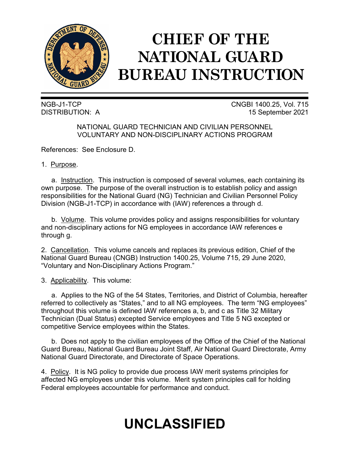

# **CHIEF OF THE NATIONAL GUARD BUREAU INSTRUCTION**

NGB-J1-TCP CNGBI 1400.25, Vol. 715 DISTRIBUTION: A 15 September 2021

> NATIONAL GUARD TECHNICIAN AND CIVILIAN PERSONNEL VOLUNTARY AND NON-DISCIPLINARY ACTIONS PROGRAM

References: See Enclosure D.

1. Purpose.

a. Instruction. This instruction is composed of several volumes, each containing its own purpose. The purpose of the overall instruction is to establish policy and assign responsibilities for the National Guard (NG) Technician and Civilian Personnel Policy Division (NGB-J1-TCP) in accordance with (IAW) references a through d.

b. Volume. This volume provides policy and assigns responsibilities for voluntary and non-disciplinary actions for NG employees in accordance IAW references e through g.

2. Cancellation. This volume cancels and replaces its previous edition, Chief of the National Guard Bureau (CNGB) Instruction 1400.25, Volume 715, 29 June 2020, "Voluntary and Non-Disciplinary Actions Program."

3. Applicability. This volume:

a. Applies to the NG of the 54 States, Territories, and District of Columbia, hereafter referred to collectively as "States," and to all NG employees. The term "NG employees" throughout this volume is defined IAW references a, b, and c as Title 32 Military Technician (Dual Status) excepted Service employees and Title 5 NG excepted or competitive Service employees within the States.

b. Does not apply to the civilian employees of the Office of the Chief of the National Guard Bureau, National Guard Bureau Joint Staff, Air National Guard Directorate, Army National Guard Directorate, and Directorate of Space Operations.

4. Policy. It is NG policy to provide due process IAW merit systems principles for affected NG employees under this volume. Merit system principles call for holding Federal employees accountable for performance and conduct.

## **UNCLASSIFIED**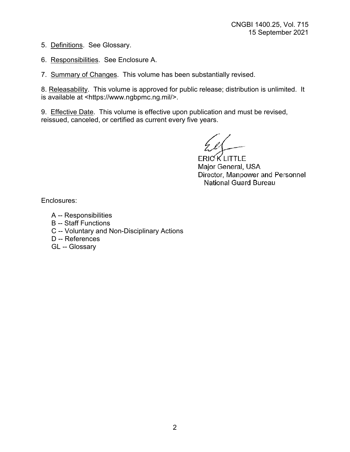5. Definitions. See Glossary.

6. Responsibilities. See Enclosure A.

7. Summary of Changes. This volume has been substantially revised.

8. Releasability. This volume is approved for public release; distribution is unlimited. It is available at <https://www.ngbpmc.ng.mil/>.

9. Effective Date. This volume is effective upon publication and must be revised, reissued, canceled, or certified as current every five years.

**ERICKLITTLE** Major General, USA Director, Manpower and Personnel National Guard Bureau

Enclosures:

- A -- Responsibilities
- B -- Staff Functions
- C -- Voluntary and Non-Disciplinary Actions
- D -- References
- GL -- Glossary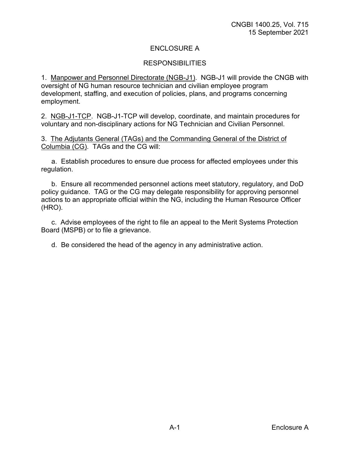## ENCLOSURE A

#### **RESPONSIBILITIES**

1. Manpower and Personnel Directorate (NGB-J1). NGB-J1 will provide the CNGB with oversight of NG human resource technician and civilian employee program development, staffing, and execution of policies, plans, and programs concerning employment.

2. NGB-J1-TCP. NGB-J1-TCP will develop, coordinate, and maintain procedures for voluntary and non-disciplinary actions for NG Technician and Civilian Personnel.

3. The Adjutants General (TAGs) and the Commanding General of the District of Columbia (CG). TAGs and the CG will:

a. Establish procedures to ensure due process for affected employees under this regulation.

b. Ensure all recommended personnel actions meet statutory, regulatory, and DoD policy guidance. TAG or the CG may delegate responsibility for approving personnel actions to an appropriate official within the NG, including the Human Resource Officer (HRO).

c. Advise employees of the right to file an appeal to the Merit Systems Protection Board (MSPB) or to file a grievance.

d. Be considered the head of the agency in any administrative action.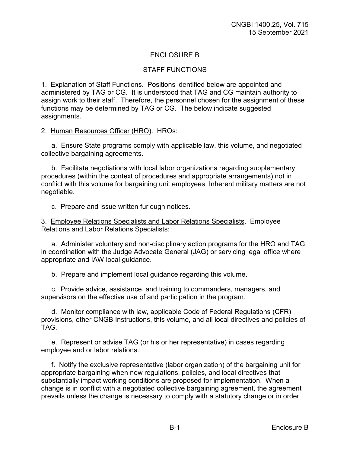## ENCLOSURE B

#### STAFF FUNCTIONS

1. Explanation of Staff Functions. Positions identified below are appointed and administered by TAG or CG. It is understood that TAG and CG maintain authority to assign work to their staff. Therefore, the personnel chosen for the assignment of these functions may be determined by TAG or CG. The below indicate suggested assignments.

2. Human Resources Officer (HRO). HROs:

a. Ensure State programs comply with applicable law, this volume, and negotiated collective bargaining agreements.

b. Facilitate negotiations with local labor organizations regarding supplementary procedures (within the context of procedures and appropriate arrangements) not in conflict with this volume for bargaining unit employees. Inherent military matters are not negotiable.

c. Prepare and issue written furlough notices.

3. Employee Relations Specialists and Labor Relations Specialists. Employee Relations and Labor Relations Specialists:

a. Administer voluntary and non-disciplinary action programs for the HRO and TAG in coordination with the Judge Advocate General (JAG) or servicing legal office where appropriate and IAW local guidance.

b. Prepare and implement local guidance regarding this volume.

c. Provide advice, assistance, and training to commanders, managers, and supervisors on the effective use of and participation in the program.

d. Monitor compliance with law, applicable Code of Federal Regulations (CFR) provisions, other CNGB Instructions, this volume, and all local directives and policies of TAG.

e. Represent or advise TAG (or his or her representative) in cases regarding employee and or labor relations.

f. Notify the exclusive representative (labor organization) of the bargaining unit for appropriate bargaining when new regulations, policies, and local directives that substantially impact working conditions are proposed for implementation. When a change is in conflict with a negotiated collective bargaining agreement, the agreement prevails unless the change is necessary to comply with a statutory change or in order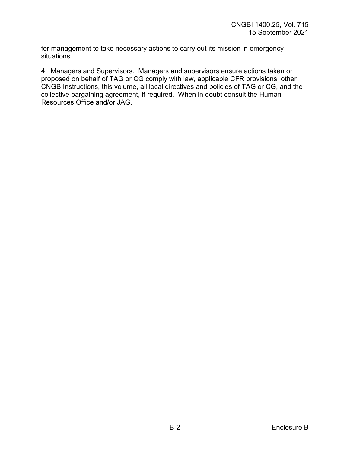for management to take necessary actions to carry out its mission in emergency situations.

4. Managers and Supervisors. Managers and supervisors ensure actions taken or proposed on behalf of TAG or CG comply with law, applicable CFR provisions, other CNGB Instructions, this volume, all local directives and policies of TAG or CG, and the collective bargaining agreement, if required. When in doubt consult the Human Resources Office and/or JAG.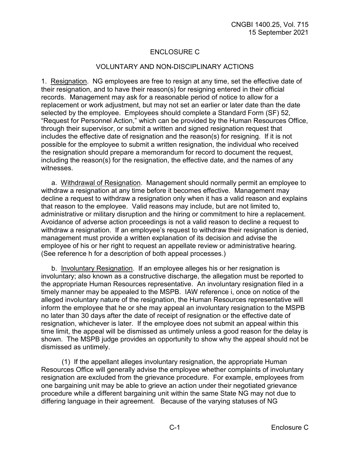## ENCLOSURE C

#### VOLUNTARY AND NON-DISCIPLINARY ACTIONS

1. Resignation. NG employees are free to resign at any time, set the effective date of their resignation, and to have their reason(s) for resigning entered in their official records. Management may ask for a reasonable period of notice to allow for a replacement or work adjustment, but may not set an earlier or later date than the date selected by the employee. Employees should complete a Standard Form (SF) 52, "Request for Personnel Action," which can be provided by the Human Resources Office, through their supervisor, or submit a written and signed resignation request that includes the effective date of resignation and the reason(s) for resigning. If it is not possible for the employee to submit a written resignation, the individual who received the resignation should prepare a memorandum for record to document the request, including the reason(s) for the resignation, the effective date, and the names of any witnesses.

a. Withdrawal of Resignation. Management should normally permit an employee to withdraw a resignation at any time before it becomes effective. Management may decline a request to withdraw a resignation only when it has a valid reason and explains that reason to the employee. Valid reasons may include, but are not limited to, administrative or military disruption and the hiring or commitment to hire a replacement. Avoidance of adverse action proceedings is not a valid reason to decline a request to withdraw a resignation. If an employee's request to withdraw their resignation is denied, management must provide a written explanation of its decision and advise the employee of his or her right to request an appellate review or administrative hearing. (See reference h for a description of both appeal processes.)

b. Involuntary Resignation. If an employee alleges his or her resignation is involuntary; also known as a constructive discharge, the allegation must be reported to the appropriate Human Resources representative. An involuntary resignation filed in a timely manner may be appealed to the MSPB. IAW reference i, once on notice of the alleged involuntary nature of the resignation, the Human Resources representative will inform the employee that he or she may appeal an involuntary resignation to the MSPB no later than 30 days after the date of receipt of resignation or the effective date of resignation, whichever is later. If the employee does not submit an appeal within this time limit, the appeal will be dismissed as untimely unless a good reason for the delay is shown. The MSPB judge provides an opportunity to show why the appeal should not be dismissed as untimely.

(1) If the appellant alleges involuntary resignation, the appropriate Human Resources Office will generally advise the employee whether complaints of involuntary resignation are excluded from the grievance procedure. For example, employees from one bargaining unit may be able to grieve an action under their negotiated grievance procedure while a different bargaining unit within the same State NG may not due to differing language in their agreement. Because of the varying statuses of NG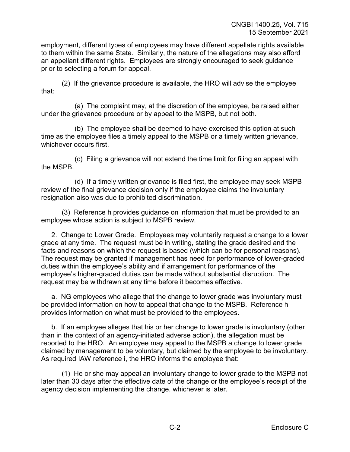employment, different types of employees may have different appellate rights available to them within the same State. Similarly, the nature of the allegations may also afford an appellant different rights. Employees are strongly encouraged to seek guidance prior to selecting a forum for appeal.

(2) If the grievance procedure is available, the HRO will advise the employee that:

(a) The complaint may, at the discretion of the employee, be raised either under the grievance procedure or by appeal to the MSPB, but not both.

(b) The employee shall be deemed to have exercised this option at such time as the employee files a timely appeal to the MSPB or a timely written grievance, whichever occurs first.

(c) Filing a grievance will not extend the time limit for filing an appeal with the MSPB.

(d) If a timely written grievance is filed first, the employee may seek MSPB review of the final grievance decision only if the employee claims the involuntary resignation also was due to prohibited discrimination.

(3) Reference h provides guidance on information that must be provided to an employee whose action is subject to MSPB review.

2. Change to Lower Grade. Employees may voluntarily request a change to a lower grade at any time. The request must be in writing, stating the grade desired and the facts and reasons on which the request is based (which can be for personal reasons). The request may be granted if management has need for performance of lower-graded duties within the employee's ability and if arrangement for performance of the employee's higher-graded duties can be made without substantial disruption. The request may be withdrawn at any time before it becomes effective.

a. NG employees who allege that the change to lower grade was involuntary must be provided information on how to appeal that change to the MSPB. Reference h provides information on what must be provided to the employees.

b. If an employee alleges that his or her change to lower grade is involuntary (other than in the context of an agency-initiated adverse action), the allegation must be reported to the HRO. An employee may appeal to the MSPB a change to lower grade claimed by management to be voluntary, but claimed by the employee to be involuntary. As required IAW reference i, the HRO informs the employee that:

(1) He or she may appeal an involuntary change to lower grade to the MSPB not later than 30 days after the effective date of the change or the employee's receipt of the agency decision implementing the change, whichever is later.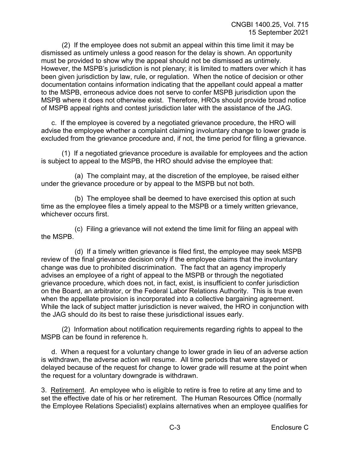(2) If the employee does not submit an appeal within this time limit it may be dismissed as untimely unless a good reason for the delay is shown. An opportunity must be provided to show why the appeal should not be dismissed as untimely. However, the MSPB's jurisdiction is not plenary; it is limited to matters over which it has been given jurisdiction by law, rule, or regulation. When the notice of decision or other documentation contains information indicating that the appellant could appeal a matter to the MSPB, erroneous advice does not serve to confer MSPB jurisdiction upon the MSPB where it does not otherwise exist. Therefore, HROs should provide broad notice of MSPB appeal rights and contest jurisdiction later with the assistance of the JAG.

c. If the employee is covered by a negotiated grievance procedure, the HRO will advise the employee whether a complaint claiming involuntary change to lower grade is excluded from the grievance procedure and, if not, the time period for filing a grievance.

(1) If a negotiated grievance procedure is available for employees and the action is subject to appeal to the MSPB, the HRO should advise the employee that:

(a) The complaint may, at the discretion of the employee, be raised either under the grievance procedure or by appeal to the MSPB but not both.

(b) The employee shall be deemed to have exercised this option at such time as the employee files a timely appeal to the MSPB or a timely written grievance, whichever occurs first.

(c) Filing a grievance will not extend the time limit for filing an appeal with the MSPB.

(d) If a timely written grievance is filed first, the employee may seek MSPB review of the final grievance decision only if the employee claims that the involuntary change was due to prohibited discrimination. The fact that an agency improperly advises an employee of a right of appeal to the MSPB or through the negotiated grievance procedure, which does not, in fact, exist, is insufficient to confer jurisdiction on the Board, an arbitrator, or the Federal Labor Relations Authority. This is true even when the appellate provision is incorporated into a collective bargaining agreement. While the lack of subject matter jurisdiction is never waived, the HRO in conjunction with the JAG should do its best to raise these jurisdictional issues early.

(2) Information about notification requirements regarding rights to appeal to the MSPB can be found in reference h.

d. When a request for a voluntary change to lower grade in lieu of an adverse action is withdrawn, the adverse action will resume. All time periods that were stayed or delayed because of the request for change to lower grade will resume at the point when the request for a voluntary downgrade is withdrawn.

3. Retirement. An employee who is eligible to retire is free to retire at any time and to set the effective date of his or her retirement. The Human Resources Office (normally the Employee Relations Specialist) explains alternatives when an employee qualifies for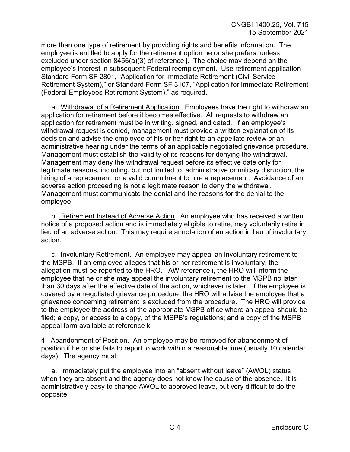more than one type of retirement by providing rights and benefits information. The employee is entitled to apply for the retirement option he or she prefers, unless excluded under section 8456(a)(3) of reference j. The choice may depend on the employee's interest in subsequent Federal reemployment. Use retirement application Standard Form SF 2801, "Application for Immediate Retirement (Civil Service Retirement System)," or Standard Form SF 3107, "Application for Immediate Retirement (Federal Employees Retirement System)," as required.

a. Withdrawal of a Retirement Application. Employees have the right to withdraw an application for retirement before it becomes effective. All requests to withdraw an application for retirement must be in writing, signed, and dated. If an employee's withdrawal request is denied, management must provide a written explanation of its decision and advise the employee of his or her right to an appellate review or an administrative hearing under the terms of an applicable negotiated grievance procedure. Management must establish the validity of its reasons for denying the withdrawal. Management may deny the withdrawal request before its effective date only for legitimate reasons, including, but not limited to, administrative or military disruption, the hiring of a replacement, or a valid commitment to hire a replacement. Avoidance of an adverse action proceeding is not a legitimate reason to deny the withdrawal. Management must communicate the denial and the reasons for the denial to the employee.

b. Retirement Instead of Adverse Action. An employee who has received a written notice of a proposed action and is immediately eligible to retire, may voluntarily retire in lieu of an adverse action. This may require annotation of an action in lieu of involuntary action.

c. Involuntary Retirement. An employee may appeal an involuntary retirement to the MSPB. If an employee alleges that his or her retirement is involuntary, the allegation must be reported to the HRO. IAW reference i, the HRO will inform the employee that he or she may appeal the involuntary retirement to the MSPB no later than 30 days after the effective date of the action, whichever is later. If the employee is covered by a negotiated grievance procedure, the HRO will advise the employee that a grievance concerning retirement is excluded from the procedure. The HRO will provide to the employee the address of the appropriate MSPB office where an appeal should be filed; a copy, or access to a copy, of the MSPB's regulations; and a copy of the MSPB appeal form available at reference k.

4. Abandonment of Position. An employee may be removed for abandonment of position if he or she fails to report to work within a reasonable time (usually 10 calendar days). The agency must:

a. Immediately put the employee into an "absent without leave" (AWOL) status when they are absent and the agency does not know the cause of the absence. It is administratively easy to change AWOL to approved leave, but very difficult to do the opposite.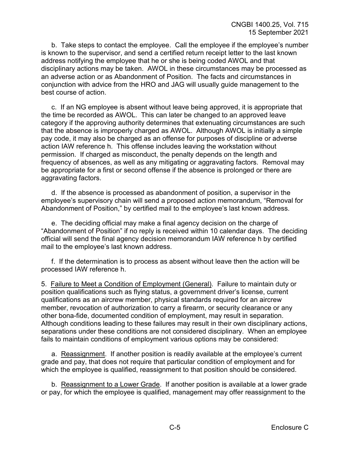b. Take steps to contact the employee. Call the employee if the employee's number is known to the supervisor, and send a certified return receipt letter to the last known address notifying the employee that he or she is being coded AWOL and that disciplinary actions may be taken. AWOL in these circumstances may be processed as an adverse action or as Abandonment of Position. The facts and circumstances in conjunction with advice from the HRO and JAG will usually guide management to the best course of action.

c. If an NG employee is absent without leave being approved, it is appropriate that the time be recorded as AWOL. This can later be changed to an approved leave category if the approving authority determines that extenuating circumstances are such that the absence is improperly charged as AWOL. Although AWOL is initially a simple pay code, it may also be charged as an offense for purposes of discipline or adverse action IAW reference h. This offense includes leaving the workstation without permission. If charged as misconduct, the penalty depends on the length and frequency of absences, as well as any mitigating or aggravating factors. Removal may be appropriate for a first or second offense if the absence is prolonged or there are aggravating factors.

d. If the absence is processed as abandonment of position, a supervisor in the employee's supervisory chain will send a proposed action memorandum, "Removal for Abandonment of Position," by certified mail to the employee's last known address.

e. The deciding official may make a final agency decision on the charge of "Abandonment of Position" if no reply is received within 10 calendar days. The deciding official will send the final agency decision memorandum IAW reference h by certified mail to the employee's last known address.

f. If the determination is to process as absent without leave then the action will be processed IAW reference h.

5. Failure to Meet a Condition of Employment (General). Failure to maintain duty or position qualifications such as flying status, a government driver's license, current qualifications as an aircrew member, physical standards required for an aircrew member, revocation of authorization to carry a firearm, or security clearance or any other bona-fide, documented condition of employment, may result in separation. Although conditions leading to these failures may result in their own disciplinary actions, separations under these conditions are not considered disciplinary. When an employee fails to maintain conditions of employment various options may be considered:

a. Reassignment. If another position is readily available at the employee's current grade and pay, that does not require that particular condition of employment and for which the employee is qualified, reassignment to that position should be considered.

b. Reassignment to a Lower Grade. If another position is available at a lower grade or pay, for which the employee is qualified, management may offer reassignment to the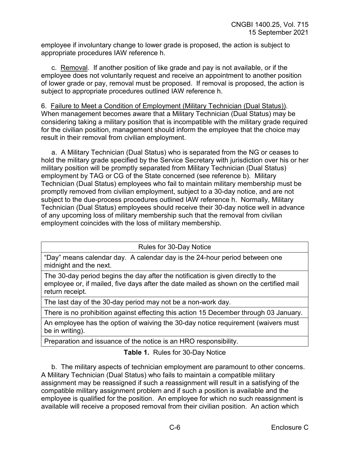employee if involuntary change to lower grade is proposed, the action is subject to appropriate procedures IAW reference h.

c. Removal. If another position of like grade and pay is not available, or if the employee does not voluntarily request and receive an appointment to another position of lower grade or pay, removal must be proposed. If removal is proposed, the action is subject to appropriate procedures outlined IAW reference h.

6. Failure to Meet a Condition of Employment (Military Technician (Dual Status)). When management becomes aware that a Military Technician (Dual Status) may be considering taking a military position that is incompatible with the military grade required for the civilian position, management should inform the employee that the choice may result in their removal from civilian employment.

a. A Military Technician (Dual Status) who is separated from the NG or ceases to hold the military grade specified by the Service Secretary with jurisdiction over his or her military position will be promptly separated from Military Technician (Dual Status) employment by TAG or CG of the State concerned (see reference b). Military Technician (Dual Status) employees who fail to maintain military membership must be promptly removed from civilian employment, subject to a 30-day notice, and are not subject to the due-process procedures outlined IAW reference h. Normally, Military Technician (Dual Status) employees should receive their 30-day notice well in advance of any upcoming loss of military membership such that the removal from civilian employment coincides with the loss of military membership.

Rules for 30-Day Notice

"Day" means calendar day. A calendar day is the 24-hour period between one midnight and the next.

The 30-day period begins the day after the notification is given directly to the employee or, if mailed, five days after the date mailed as shown on the certified mail return receipt.

The last day of the 30-day period may not be a non-work day.

There is no prohibition against effecting this action 15 December through 03 January.

An employee has the option of waiving the 30-day notice requirement (waivers must be in writing).

Preparation and issuance of the notice is an HRO responsibility.

**Table 1.** Rules for 30-Day Notice

b. The military aspects of technician employment are paramount to other concerns. A Military Technician (Dual Status) who fails to maintain a compatible military assignment may be reassigned if such a reassignment will result in a satisfying of the compatible military assignment problem and if such a position is available and the employee is qualified for the position. An employee for which no such reassignment is available will receive a proposed removal from their civilian position. An action which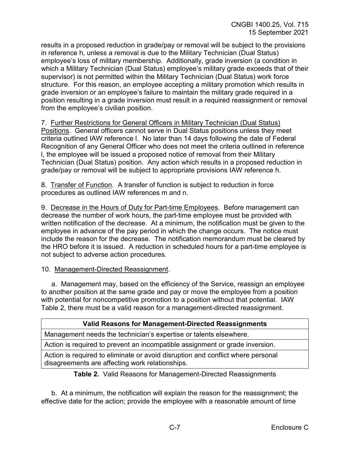results in a proposed reduction in grade/pay or removal will be subject to the provisions in reference h, unless a removal is due to the Military Technician (Dual Status) employee's loss of military membership. Additionally, grade inversion (a condition in which a Military Technician (Dual Status) employee's military grade exceeds that of their supervisor) is not permitted within the Military Technician (Dual Status) work force structure. For this reason, an employee accepting a military promotion which results in grade inversion or an employee's failure to maintain the military grade required in a position resulting in a grade inversion must result in a required reassignment or removal from the employee's civilian position.

7. Further Restrictions for General Officers in Military Technician (Dual Status) Positions. General officers cannot serve in Dual Status positions unless they meet criteria outlined IAW reference l. No later than 14 days following the date of Federal Recognition of any General Officer who does not meet the criteria outlined in reference l, the employee will be issued a proposed notice of removal from their Military Technician (Dual Status) position. Any action which results in a proposed reduction in grade/pay or removal will be subject to appropriate provisions IAW reference h.

8. Transfer of Function. A transfer of function is subject to reduction in force procedures as outlined IAW references m and n.

9.Decrease in the Hours of Duty for Part-time Employees. Before management can decrease the number of work hours, the part-time employee must be provided with written notification of the decrease. At a minimum, the notification must be given to the employee in advance of the pay period in which the change occurs. The notice must include the reason for the decrease. The notification memorandum must be cleared by the HRO before it is issued. A reduction in scheduled hours for a part-time employee is not subject to adverse action procedures.

#### 10. Management-Directed Reassignment.

a. Management may, based on the efficiency of the Service, reassign an employee to another position at the same grade and pay or move the employee from a position with potential for noncompetitive promotion to a position without that potential. IAW Table 2, there must be a valid reason for a management-directed reassignment.

#### **Valid Reasons for Management-Directed Reassignments**

Management needs the technician's expertise or talents elsewhere.

Action is required to prevent an incompatible assignment or grade inversion.

Action is required to eliminate or avoid disruption and conflict where personal disagreements are affecting work relationships.

**Table 2.** Valid Reasons for Management-Directed Reassignments

b. At a minimum, the notification will explain the reason for the reassignment; the effective date for the action; provide the employee with a reasonable amount of time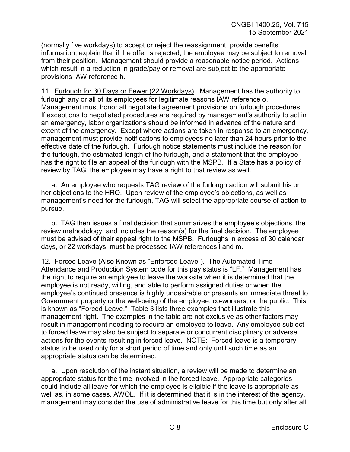(normally five workdays) to accept or reject the reassignment; provide benefits information; explain that if the offer is rejected, the employee may be subject to removal from their position. Management should provide a reasonable notice period. Actions which result in a reduction in grade/pay or removal are subject to the appropriate provisions IAW reference h.

11. Furlough for 30 Days or Fewer (22 Workdays). Management has the authority to furlough any or all of its employees for legitimate reasons IAW reference o. Management must honor all negotiated agreement provisions on furlough procedures. If exceptions to negotiated procedures are required by management's authority to act in an emergency, labor organizations should be informed in advance of the nature and extent of the emergency. Except where actions are taken in response to an emergency, management must provide notifications to employees no later than 24 hours prior to the effective date of the furlough. Furlough notice statements must include the reason for the furlough, the estimated length of the furlough, and a statement that the employee has the right to file an appeal of the furlough with the MSPB. If a State has a policy of review by TAG, the employee may have a right to that review as well.

a. An employee who requests TAG review of the furlough action will submit his or her objections to the HRO. Upon review of the employee's objections, as well as management's need for the furlough, TAG will select the appropriate course of action to pursue.

b. TAG then issues a final decision that summarizes the employee's objections, the review methodology, and includes the reason(s) for the final decision. The employee must be advised of their appeal right to the MSPB. Furloughs in excess of 30 calendar days, or 22 workdays, must be processed IAW references l and m.

12. Forced Leave (Also Known as "Enforced Leave"). The Automated Time Attendance and Production System code for this pay status is "LF." Management has the right to require an employee to leave the worksite when it is determined that the employee is not ready, willing, and able to perform assigned duties or when the employee's continued presence is highly undesirable or presents an immediate threat to Government property or the well-being of the employee, co-workers, or the public. This is known as "Forced Leave." Table 3 lists three examples that illustrate this management right. The examples in the table are not exclusive as other factors may result in management needing to require an employee to leave. Any employee subject to forced leave may also be subject to separate or concurrent disciplinary or adverse actions for the events resulting in forced leave. NOTE: Forced leave is a temporary status to be used only for a short period of time and only until such time as an appropriate status can be determined.

a. Upon resolution of the instant situation, a review will be made to determine an appropriate status for the time involved in the forced leave. Appropriate categories could include all leave for which the employee is eligible if the leave is appropriate as well as, in some cases, AWOL. If it is determined that it is in the interest of the agency, management may consider the use of administrative leave for this time but only after all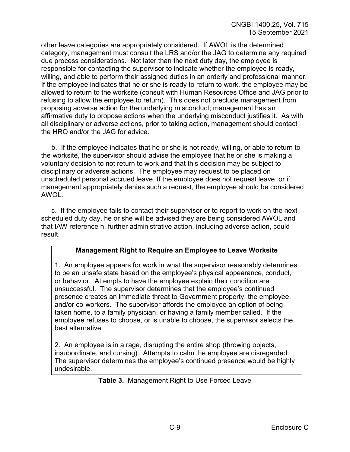other leave categories are appropriately considered. If AWOL is the determined category, management must consult the LRS and/or the JAG to determine any required due process considerations. Not later than the next duty day, the employee is responsible for contacting the supervisor to indicate whether the employee is ready, willing, and able to perform their assigned duties in an orderly and professional manner. If the employee indicates that he or she is ready to return to work, the employee may be allowed to return to the worksite (consult with Human Resources Office and JAG prior to refusing to allow the employee to return). This does not preclude management from proposing adverse action for the underlying misconduct; management has an affirmative duty to propose actions when the underlying misconduct justifies it. As with all disciplinary or adverse actions, prior to taking action, management should contact the HRO and/or the JAG for advice.

b. If the employee indicates that he or she is not ready, willing, or able to return to the worksite, the supervisor should advise the employee that he or she is making a voluntary decision to not return to work and that this decision may be subject to disciplinary or adverse actions. The employee may request to be placed on unscheduled personal accrued leave. If the employee does not request leave, or if management appropriately denies such a request, the employee should be considered AWOL.

c. If the employee fails to contact their supervisor or to report to work on the next scheduled duty day, he or she will be advised they are being considered AWOL and that IAW reference h, further administrative action, including adverse action, could result.

#### **Management Right to Require an Employee to Leave Worksite**

1. An employee appears for work in what the supervisor reasonably determines to be an unsafe state based on the employee's physical appearance, conduct, or behavior. Attempts to have the employee explain their condition are unsuccessful. The supervisor determines that the employee's continued presence creates an immediate threat to Government property, the employee, and/or co-workers. The supervisor affords the employee an option of being taken home, to a family physician, or having a family member called. If the employee refuses to choose, or is unable to choose, the supervisor selects the best alternative.

2. An employee is in a rage, disrupting the entire shop (throwing objects, insubordinate, and cursing). Attempts to calm the employee are disregarded. The supervisor determines the employee's continued presence would be highly undesirable.

**Table 3.** Management Right to Use Forced Leave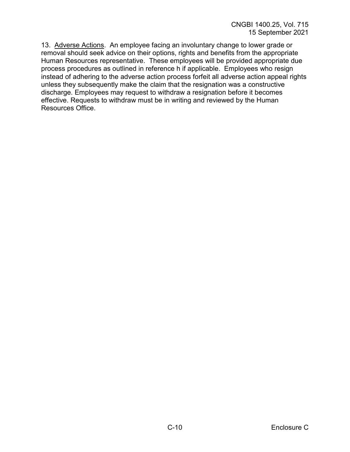13. Adverse Actions. An employee facing an involuntary change to lower grade or removal should seek advice on their options, rights and benefits from the appropriate Human Resources representative. These employees will be provided appropriate due process procedures as outlined in reference h if applicable. Employees who resign instead of adhering to the adverse action process forfeit all adverse action appeal rights unless they subsequently make the claim that the resignation was a constructive discharge. Employees may request to withdraw a resignation before it becomes effective. Requests to withdraw must be in writing and reviewed by the Human Resources Office.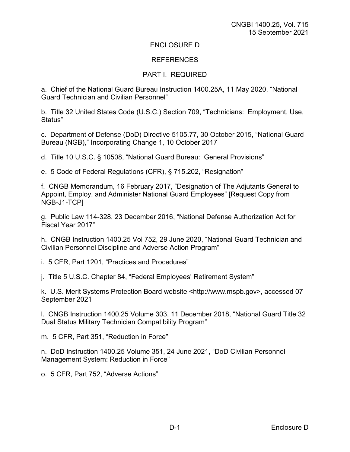#### ENCLOSURE D

#### **REFERENCES**

#### PART I. REQUIRED

a. Chief of the National Guard Bureau Instruction 1400.25A, 11 May 2020, "National Guard Technician and Civilian Personnel"

b. Title 32 United States Code (U.S.C.) Section 709, "Technicians: Employment, Use, Status"

c. Department of Defense (DoD) Directive 5105.77, 30 October 2015, "National Guard Bureau (NGB)," Incorporating Change 1, 10 October 2017

d. Title 10 U.S.C. § 10508, "National Guard Bureau: General Provisions"

e. 5 Code of Federal Regulations (CFR), § 715.202, "Resignation"

f. CNGB Memorandum, 16 February 2017, "Designation of The Adjutants General to Appoint, Employ, and Administer National Guard Employees" [Request Copy from NGB-J1-TCP]

g. Public Law 114-328, 23 December 2016, "National Defense Authorization Act for Fiscal Year 2017"

h. CNGB Instruction 1400.25 Vol 752, 29 June 2020, "National Guard Technician and Civilian Personnel Discipline and Adverse Action Program"

i. 5 CFR, Part 1201, "Practices and Procedures"

j. Title 5 U.S.C. Chapter 84, "Federal Employees' Retirement System"

k. U.S. Merit Systems Protection Board website <http://www.mspb.gov>, accessed 07 September 2021

l. CNGB Instruction 1400.25 Volume 303, 11 December 2018, "National Guard Title 32 Dual Status Military Technician Compatibility Program"

m. 5 CFR, Part 351, "Reduction in Force"

n. DoD Instruction 1400.25 Volume 351, 24 June 2021, "DoD Civilian Personnel Management System: Reduction in Force"

o. 5 CFR, Part 752, "Adverse Actions"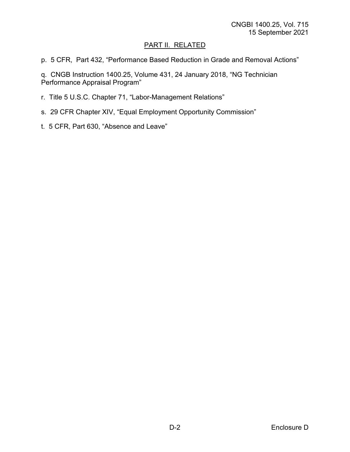## PART II. RELATED

p. 5 CFR, Part 432, "Performance Based Reduction in Grade and Removal Actions"

q. CNGB Instruction 1400.25, Volume 431, 24 January 2018, "NG Technician Performance Appraisal Program"

- r. Title 5 U.S.C. Chapter 71, "Labor-Management Relations"
- s. 29 CFR Chapter XIV, "Equal Employment Opportunity Commission"
- t. 5 CFR, Part 630, "Absence and Leave"